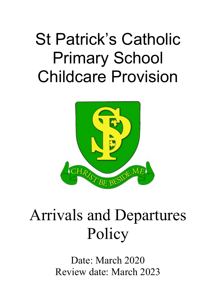# St Patrick's Catholic Primary School Childcare Provision



## Arrivals and Departures Policy

Date: March 2020 Review date: March 2023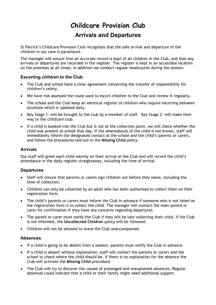### **Childcare Provision Club**

**Arrivals and Departures**

St Patrick's Childcare Provision Club recognises that the safe arrival and departure of the children in our care is paramount.

The manager will ensure that an accurate record is kept of all children in the Club, and that any arrivals or departures are recorded in the register. The register is kept in an accessible location on the premises at all times. In addition we conduct regular headcounts during the session.

#### **Escorting children to the Club**

- The Club and school have a clear agreement concerning the transfer of responsibility for children's safety.
- We have risk assessed the route used to escort children to the Club and review it regularly.
- The school and the Club keep an identical register of children who require escorting between locations which is updated daily.
- Key Stage 1- will be brought to the club by a member of staff. Key Stage 2- will make their way to the childcare club.
- If a child is booked into the Club but is not at the collection point, we will check whether the child was present at school that day. If the whereabouts of the child is not known, staff will immediately inform the designated contact at the school and the child's parents or carers, and follow the procedures laid out in the **Missing Child** policy.

#### **Arrivals**

Our staff will greet each child warmly on their arrival at the Club and will record the child's attendance in the daily register straightaway, including the time of arrival.

#### **Departures**

- Staff will ensure that parents or carers sign children out before they leave, including the time of collection.
- Children can only be collected by an adult who has been authorised to collect them on their registration form.
- The child's parents or carers must inform the Club in advance if someone who is not listed on the registration form is to collect the child. The manager will contact the main parent or carer for confirmation if they have any concerns regarding departures.
- The parent or carer must notify the Club if they will be late collecting their child. If the Club is not informed, the **Uncollected Children** policy will be followed.
- Children will not be allowed to leave the Club unaccompanied.

#### **Absences**

- If a child is going to be absent from a session, parents must notify the Club in advance.
- If a child is absent without explanation, staff will contact the parents or carers and the school to check where the child should be. If there is no explanation for the absence the Club will activate the **Missing Child** procedure.
- The Club will try to discover the causes of prolonged and unexplained absences. Regular absences could indicate that a child or their family might need additional support.